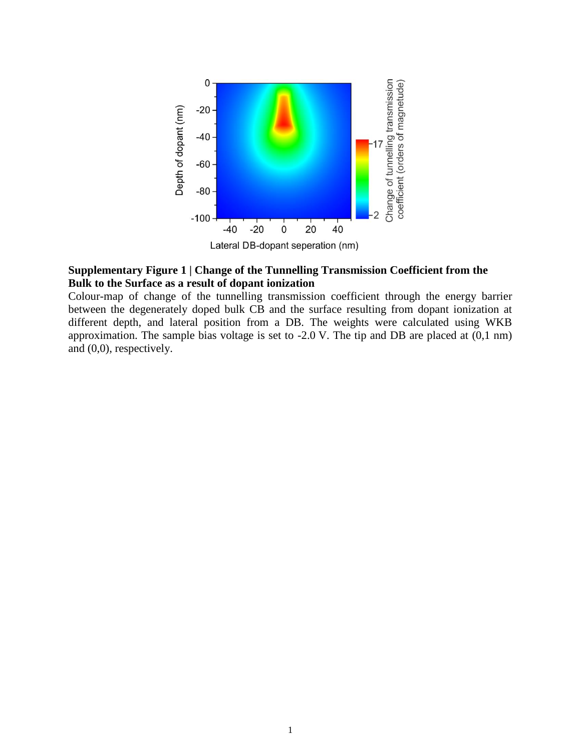

### **Supplementary Figure 1 | Change of the Tunnelling Transmission Coefficient from the Bulk to the Surface as a result of dopant ionization**

Colour-map of change of the tunnelling transmission coefficient through the energy barrier between the degenerately doped bulk CB and the surface resulting from dopant ionization at different depth, and lateral position from a DB. The weights were calculated using WKB approximation. The sample bias voltage is set to -2.0 V. The tip and DB are placed at (0,1 nm) and (0,0), respectively.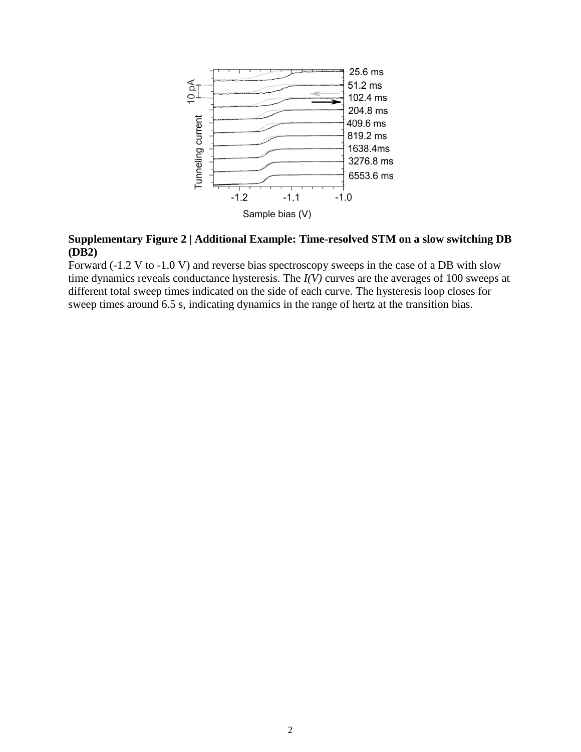

## **Supplementary Figure 2 | Additional Example: Time-resolved STM on a slow switching DB (DB2)**

Forward (-1.2 V to -1.0 V) and reverse bias spectroscopy sweeps in the case of a DB with slow time dynamics reveals conductance hysteresis. The *I(V)* curves are the averages of 100 sweeps at different total sweep times indicated on the side of each curve. The hysteresis loop closes for sweep times around 6.5 s, indicating dynamics in the range of hertz at the transition bias.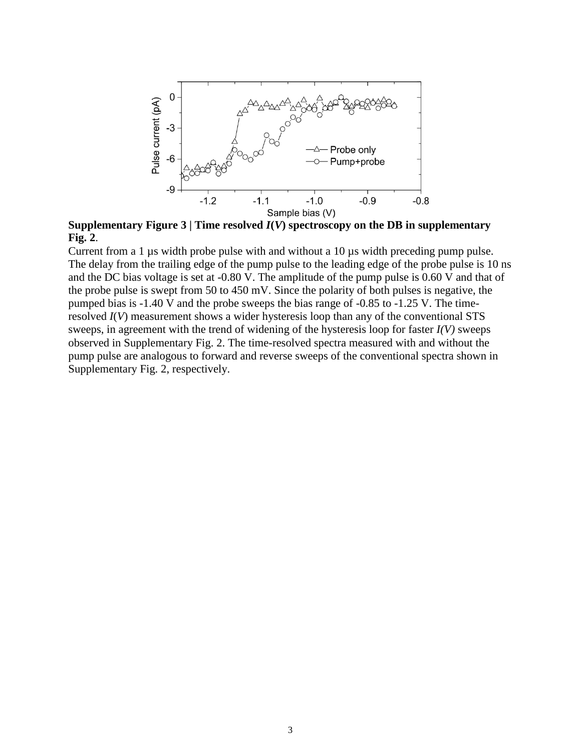

**Supplementary Figure 3** | **Time resolved**  $I(V)$  **spectroscopy on the DB in supplementary Fig. 2**.

Current from a 1 µs width probe pulse with and without a 10 µs width preceding pump pulse. The delay from the trailing edge of the pump pulse to the leading edge of the probe pulse is 10 ns and the DC bias voltage is set at -0.80 V. The amplitude of the pump pulse is 0.60 V and that of the probe pulse is swept from 50 to 450 mV. Since the polarity of both pulses is negative, the pumped bias is -1.40 V and the probe sweeps the bias range of -0.85 to -1.25 V. The timeresolved *I*(*V*) measurement shows a wider hysteresis loop than any of the conventional STS sweeps, in agreement with the trend of widening of the hysteresis loop for faster *I(V)* sweeps observed in Supplementary Fig. 2. The time-resolved spectra measured with and without the pump pulse are analogous to forward and reverse sweeps of the conventional spectra shown in Supplementary Fig. 2, respectively.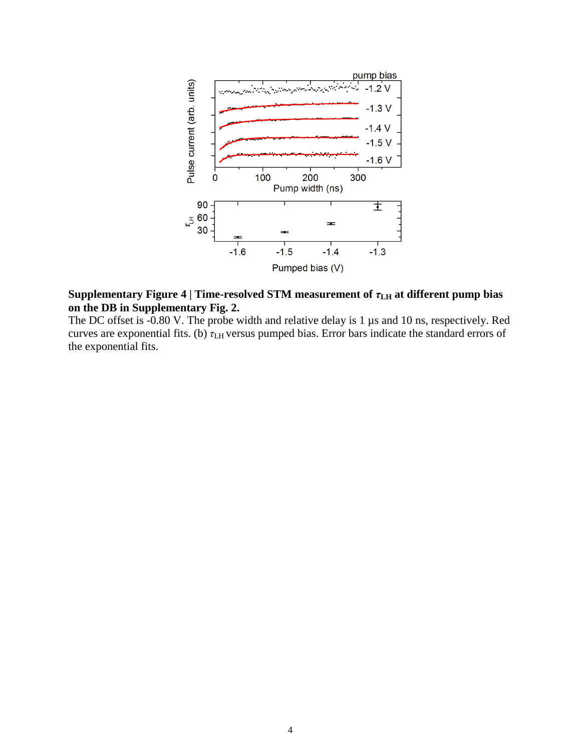

## **Supplementary Figure 4** | **Time-resolved STM** measurement of  $τ$ <sub>LH</sub> at different pump bias **on the DB in Supplementary Fig. 2.**

The DC offset is -0.80 V. The probe width and relative delay is 1 µs and 10 ns, respectively. Red curves are exponential fits. (b) *τ*LH versus pumped bias. Error bars indicate the standard errors of the exponential fits.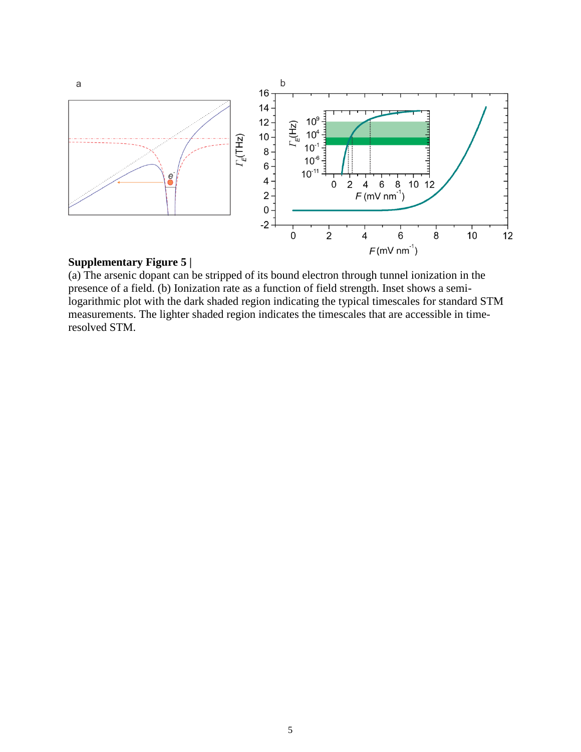

## **Supplementary Figure 5 |**

(a) The arsenic dopant can be stripped of its bound electron through tunnel ionization in the presence of a field. (b) Ionization rate as a function of field strength. Inset shows a semilogarithmic plot with the dark shaded region indicating the typical timescales for standard STM measurements. The lighter shaded region indicates the timescales that are accessible in timeresolved STM.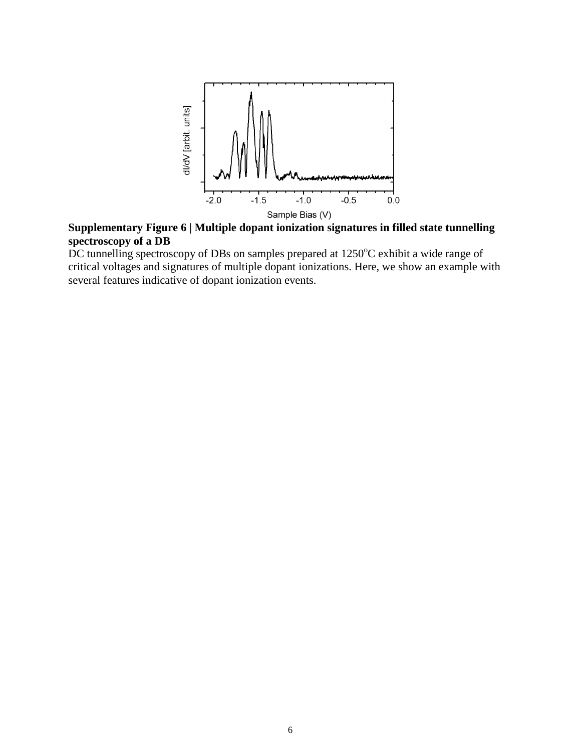

**Supplementary Figure 6 | Multiple dopant ionization signatures in filled state tunnelling spectroscopy of a DB** 

DC tunnelling spectroscopy of DBs on samples prepared at  $1250^{\circ}$ C exhibit a wide range of critical voltages and signatures of multiple dopant ionizations. Here, we show an example with several features indicative of dopant ionization events.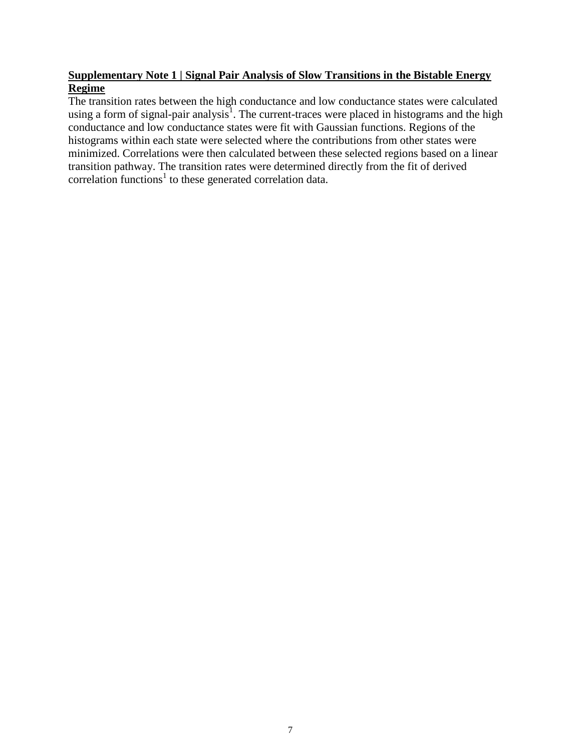## **Supplementary Note 1 | Signal Pair Analysis of Slow Transitions in the Bistable Energy Regime**

The transition rates between the high conductance and low conductance states were calculated using a form of signal-pair analysis<sup>1</sup>. The current-traces were placed in histograms and the high conductance and low conductance states were fit with Gaussian functions. Regions of the histograms within each state were selected where the contributions from other states were minimized. Correlations were then calculated between these selected regions based on a linear transition pathway. The transition rates were determined directly from the fit of derived correlation functions<sup>1</sup> to these generated correlation data.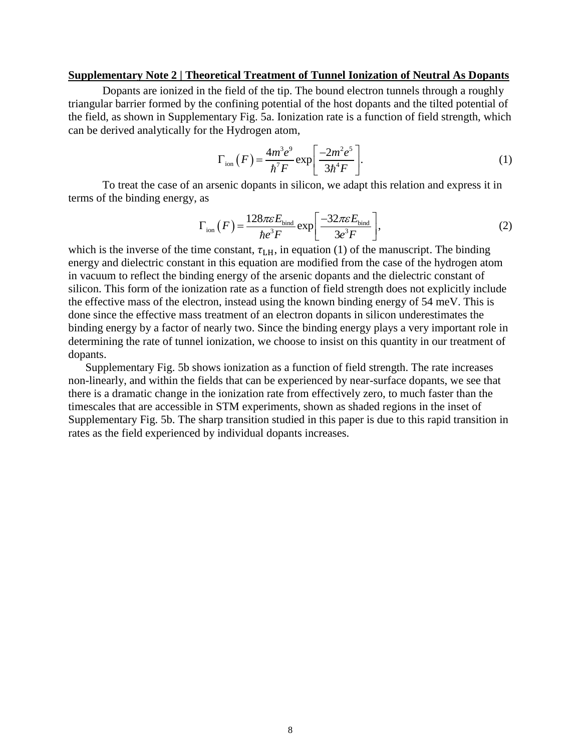#### **Supplementary Note 2 | Theoretical Treatment of Tunnel Ionization of Neutral As Dopants**

Dopants are ionized in the field of the tip. The bound electron tunnels through a roughly triangular barrier formed by the confining potential of the host dopants and the tilted potential of the field, as shown in Supplementary Fig. 5a. Ionization rate is a function of field strength, which can be derived analytically for the Hydrogen atom,

$$
\Gamma_{\text{ion}}(F) = \frac{4m^3e^9}{\hbar^7F} \exp\left[\frac{-2m^2e^5}{3\hbar^4F}\right].
$$
 (1)

To treat the case of an arsenic dopants in silicon, we adapt this relation and express it in terms of the binding energy, as

as  
\n
$$
\Gamma_{\text{ion}}(F) = \frac{128\pi\varepsilon E_{\text{bind}}}{\hbar e^3 F} \exp\left[\frac{-32\pi\varepsilon E_{\text{bind}}}{3e^3 F}\right],
$$
\n(2)

which is the inverse of the time constant,  $\tau_{LH}$ , in equation (1) of the manuscript. The binding energy and dielectric constant in this equation are modified from the case of the hydrogen atom in vacuum to reflect the binding energy of the arsenic dopants and the dielectric constant of silicon. This form of the ionization rate as a function of field strength does not explicitly include the effective mass of the electron, instead using the known binding energy of 54 meV. This is done since the effective mass treatment of an electron dopants in silicon underestimates the binding energy by a factor of nearly two. Since the binding energy plays a very important role in determining the rate of tunnel ionization, we choose to insist on this quantity in our treatment of dopants.

Supplementary Fig. 5b shows ionization as a function of field strength. The rate increases non-linearly, and within the fields that can be experienced by near-surface dopants, we see that there is a dramatic change in the ionization rate from effectively zero, to much faster than the timescales that are accessible in STM experiments, shown as shaded regions in the inset of Supplementary Fig. 5b. The sharp transition studied in this paper is due to this rapid transition in rates as the field experienced by individual dopants increases.